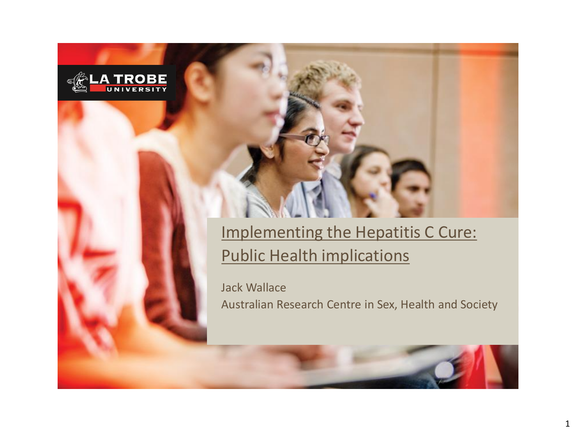

#### Implementing the Hepatitis C Cure: Public Health implications

Jack Wallace Australian Research Centre in Sex, Health and Society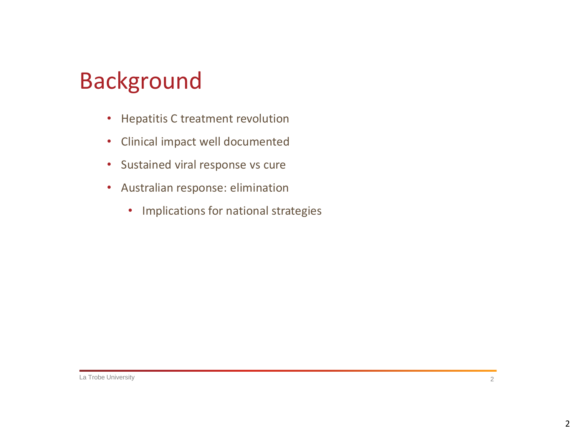## Background

- Hepatitis C treatment revolution
- Clinical impact well documented
- Sustained viral response vs cure
- Australian response: elimination
	- Implications for national strategies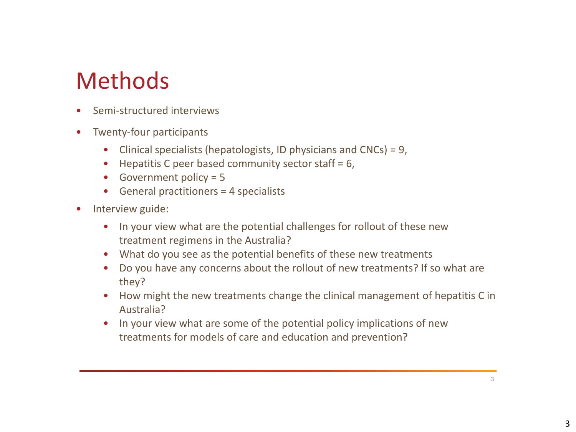## Methods

- Semi-structured interviews
- Twenty-four participants
	- Clinical specialists (hepatologists, ID physicians and CNCs) = 9,
	- $\bullet$  Hepatitis C peer based community sector staff = 6,
	- Government policy = 5
	- General practitioners = 4 specialists
- Interview guide:
	- In your view what are the potential challenges for rollout of these new treatment regimens in the Australia?
	- What do you see as the potential benefits of these new treatments
	- Do you have any concerns about the rollout of new treatments? If so what are they?
	- How might the new treatments change the clinical management of hepatitis C in Australia?
	- In your view what are some of the potential policy implications of new treatments for models of care and education and prevention?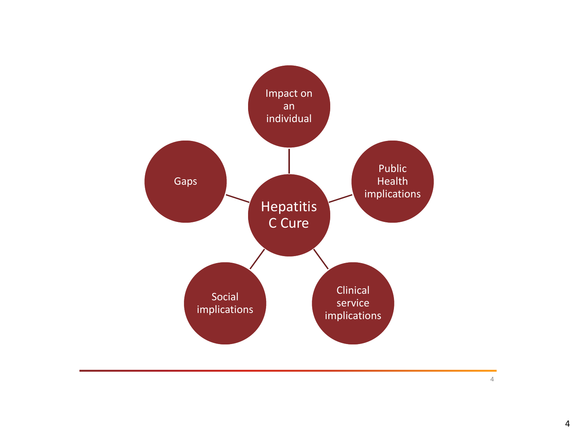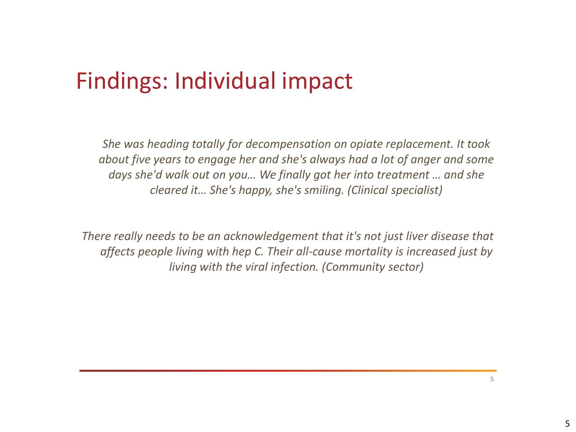## Findings: Individual impact

*She was heading totally for decompensation on opiate replacement. It took about five years to engage her and she's always had a lot of anger and some days she'd walk out on you… We finally got her into treatment … and she cleared it… She's happy, she's smiling. (Clinical specialist)*

*There really needs to be an acknowledgement that it's not just liver disease that affects people living with hep C. Their all-cause mortality is increased just by living with the viral infection. (Community sector)*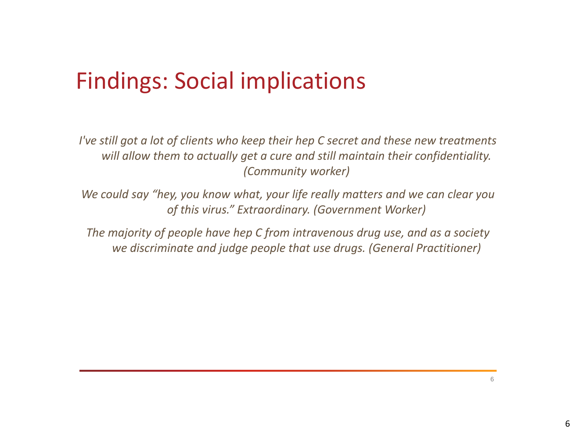## Findings: Social implications

*I've still got a lot of clients who keep their hep C secret and these new treatments will allow them to actually get a cure and still maintain their confidentiality. (Community worker)*

*We could say "hey, you know what, your life really matters and we can clear you of this virus." Extraordinary. (Government Worker)* 

*The majority of people have hep C from intravenous drug use, and as a society we discriminate and judge people that use drugs. (General Practitioner)*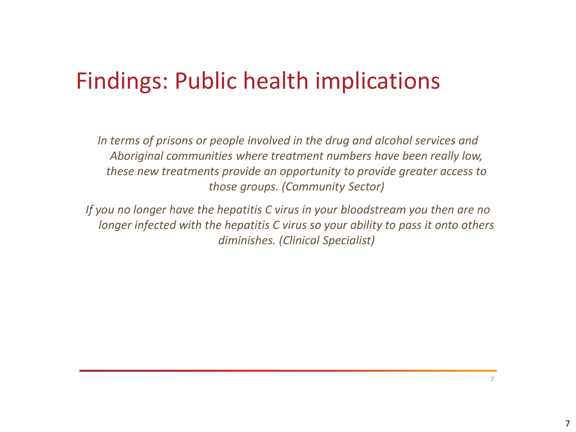## Findings: Public health implications

*In terms of prisons or people involved in the drug and alcohol services and Aboriginal communities where treatment numbers have been really low, these new treatments provide an opportunity to provide greater access to those groups. (Community Sector)* 

*If you no longer have the hepatitis C virus in your bloodstream you then are no longer infected with the hepatitis C virus so your ability to pass it onto others diminishes. (Clinical Specialist)*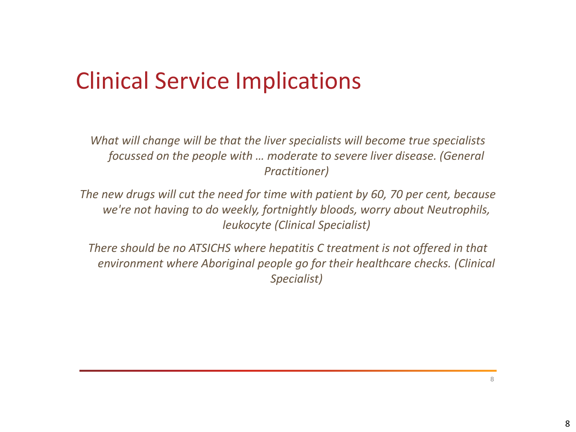# Clinical Service Implications

*What will change will be that the liver specialists will become true specialists focussed on the people with … moderate to severe liver disease. (General Practitioner)*

*The new drugs will cut the need for time with patient by 60, 70 per cent, because we're not having to do weekly, fortnightly bloods, worry about Neutrophils, leukocyte (Clinical Specialist)*

*There should be no ATSICHS where hepatitis C treatment is not offered in that environment where Aboriginal people go for their healthcare checks. (Clinical Specialist)*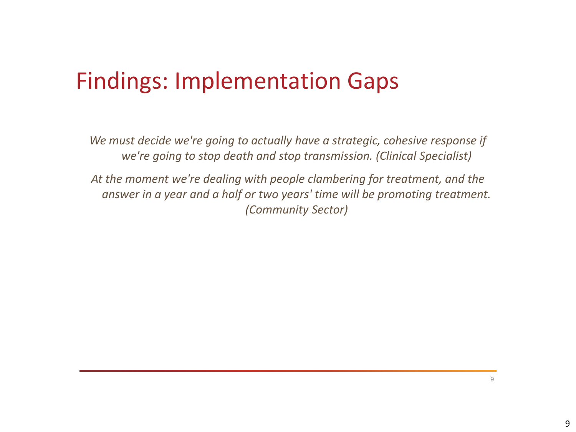## Findings: Implementation Gaps

*We must decide we're going to actually have a strategic, cohesive response if we're going to stop death and stop transmission. (Clinical Specialist)*

*At the moment we're dealing with people clambering for treatment, and the answer in a year and a half or two years' time will be promoting treatment. (Community Sector)*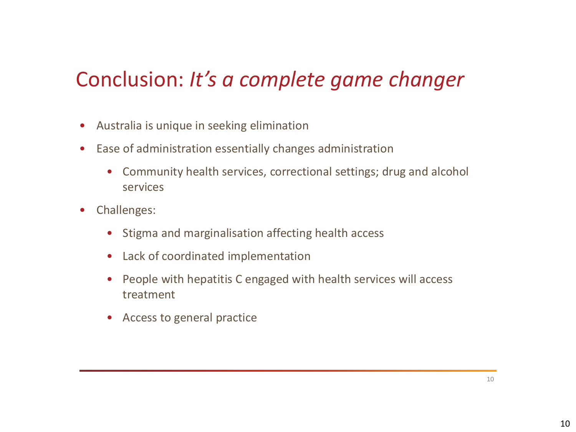#### Conclusion: *It's a complete game changer*

- Australia is unique in seeking elimination
- Ease of administration essentially changes administration
	- Community health services, correctional settings; drug and alcohol services
- Challenges:
	- Stigma and marginalisation affecting health access
	- Lack of coordinated implementation
	- People with hepatitis C engaged with health services will access treatment
	- Access to general practice